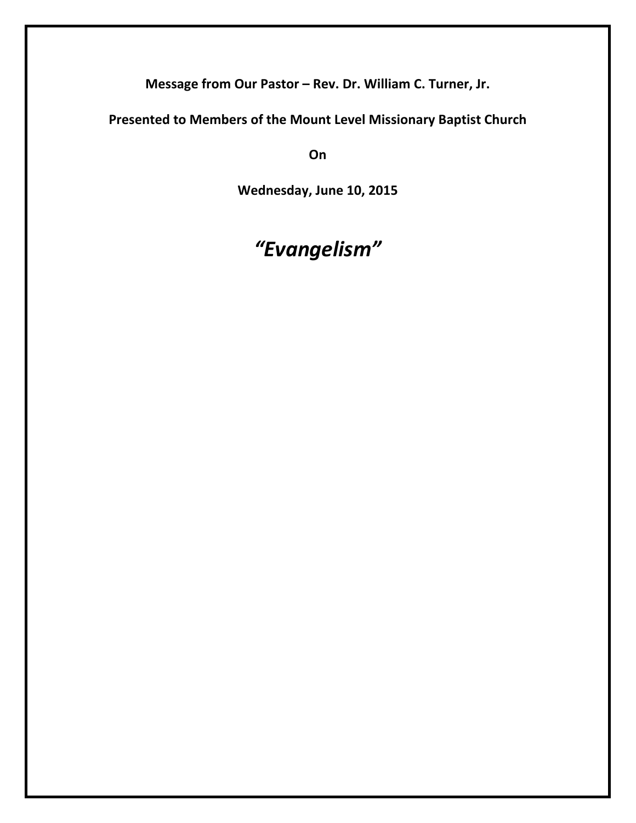**Message from Our Pastor – Rev. Dr. William C. Turner, Jr.**

**Presented to Members of the Mount Level Missionary Baptist Church** 

**On**

**Wednesday, June 10, 2015**

## *"Evangelism"*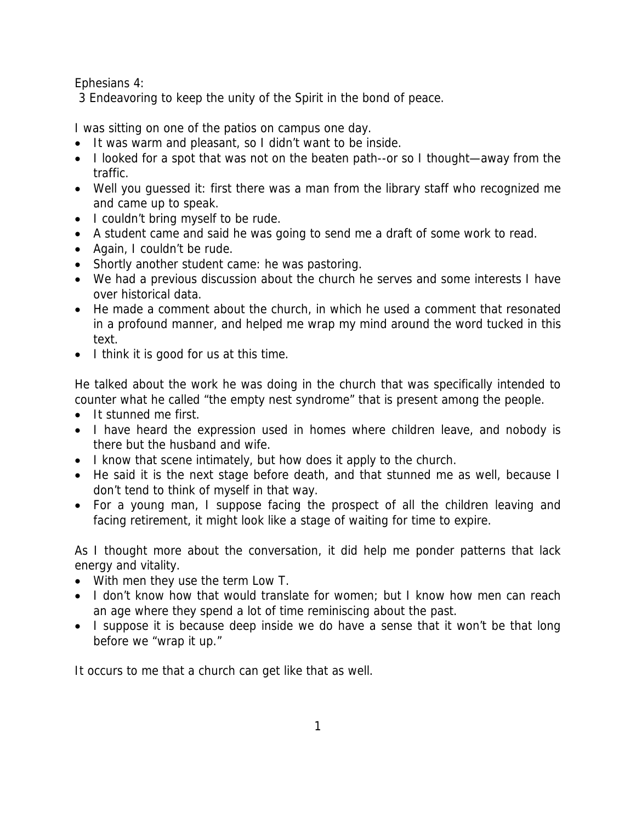Ephesians 4:

3 Endeavoring to keep the unity of the Spirit in the bond of peace.

I was sitting on one of the patios on campus one day.

- It was warm and pleasant, so I didn't want to be inside.
- I looked for a spot that was not on the beaten path--or so I thought—away from the traffic.
- Well you guessed it: first there was a man from the library staff who recognized me and came up to speak.
- I couldn't bring myself to be rude.
- A student came and said he was going to send me a draft of some work to read.
- Again, I couldn't be rude.
- Shortly another student came: he was pastoring.
- We had a previous discussion about the church he serves and some interests I have over historical data.
- He made a comment about the church, in which he used a comment that resonated in a profound manner, and helped me wrap my mind around the word tucked in this text.
- I think it is good for us at this time.

He talked about the work he was doing in the church that was specifically intended to counter what he called "the empty nest syndrome" that is present among the people.

- It stunned me first.
- I have heard the expression used in homes where children leave, and nobody is there but the husband and wife.
- I know that scene intimately, but how does it apply to the church.
- He said it is the next stage before death, and that stunned me as well, because I don't tend to think of myself in that way.
- For a young man, I suppose facing the prospect of all the children leaving and facing retirement, it might look like a stage of waiting for time to expire.

As I thought more about the conversation, it did help me ponder patterns that lack energy and vitality.

- With men they use the term Low T.
- I don't know how that would translate for women; but I know how men can reach an age where they spend a lot of time reminiscing about the past.
- I suppose it is because deep inside we do have a sense that it won't be that long before we "wrap it up."

It occurs to me that a church can get like that as well.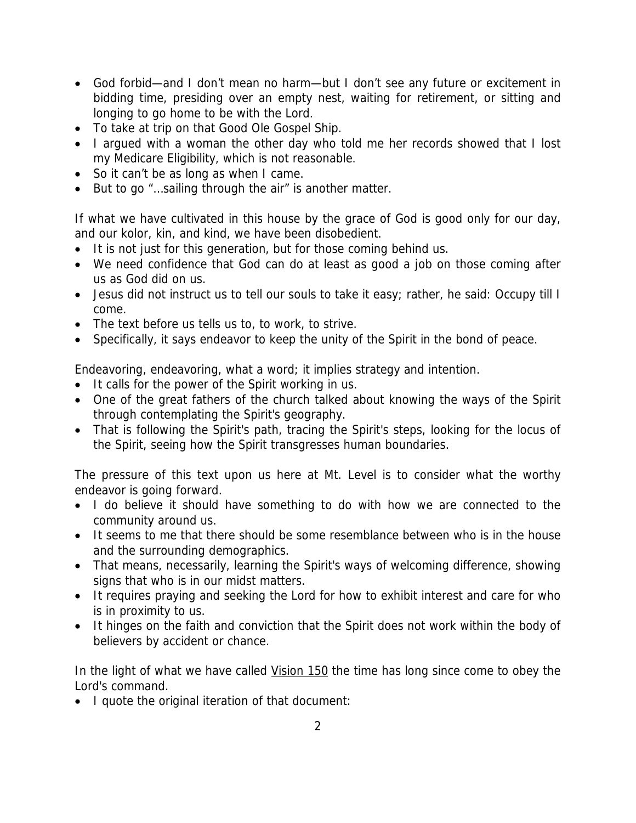- God forbid—and I don't mean no harm—but I don't see any future or excitement in bidding time, presiding over an empty nest, waiting for retirement, or sitting and longing to go home to be with the Lord.
- To take at trip on that Good Ole Gospel Ship.
- I argued with a woman the other day who told me her records showed that I lost my Medicare Eligibility, which is not reasonable.
- So it can't be as long as when I came.
- But to go "…sailing through the air" is another matter.

If what we have cultivated in this house by the grace of God is good only for our day, and our kolor, kin, and kind, we have been disobedient.

- It is not just for this generation, but for those coming behind us.
- We need confidence that God can do at least as good a job on those coming after us as God did on us.
- Jesus did not instruct us to tell our souls to take it easy; rather, he said: Occupy till I come.
- The text before us tells us to, to work, to strive.
- Specifically, it says endeavor to keep the unity of the Spirit in the bond of peace.

Endeavoring, endeavoring, what a word; it implies strategy and intention.

- It calls for the power of the Spirit working in us.
- One of the great fathers of the church talked about knowing the ways of the Spirit through contemplating the Spirit's geography.
- That is following the Spirit's path, tracing the Spirit's steps, looking for the locus of the Spirit, seeing how the Spirit transgresses human boundaries.

The pressure of this text upon us here at Mt. Level is to consider what the worthy endeavor is going forward.

- I do believe it should have something to do with how we are connected to the community around us.
- It seems to me that there should be some resemblance between who is in the house and the surrounding demographics.
- That means, necessarily, learning the Spirit's ways of welcoming difference, showing signs that who is in our midst matters.
- It requires praying and seeking the Lord for how to exhibit interest and care for who is in proximity to us.
- It hinges on the faith and conviction that the Spirit does not work within the body of believers by accident or chance.

In the light of what we have called Vision 150 the time has long since come to obey the Lord's command.

• I quote the original iteration of that document: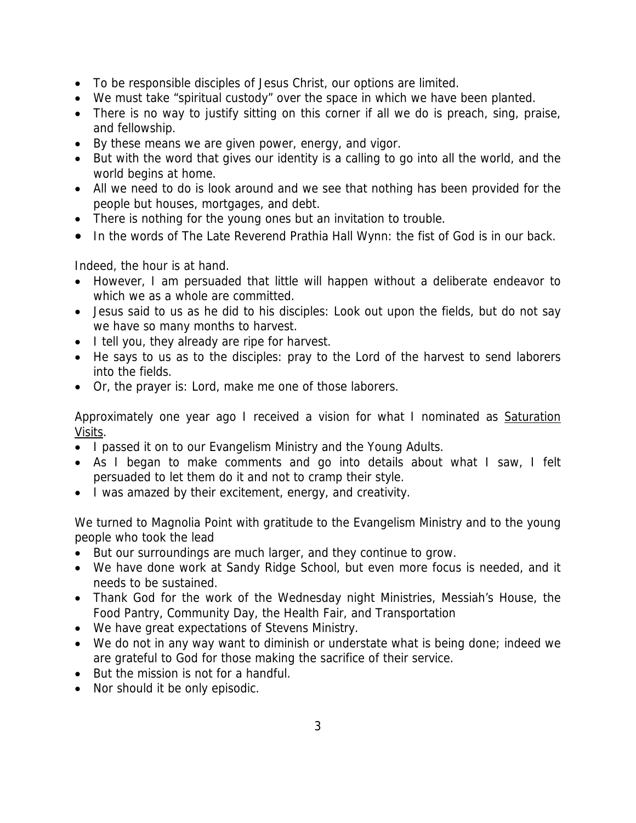- To be responsible disciples of Jesus Christ, our options are limited.
- We must take "spiritual custody" over the space in which we have been planted.
- There is no way to justify sitting on this corner if all we do is preach, sing, praise, and fellowship.
- By these means we are given power, energy, and vigor.
- But with the word that gives our identity is a calling to go into all the world, and the world begins at home.
- All we need to do is look around and we see that nothing has been provided for the people but houses, mortgages, and debt.
- There is nothing for the young ones but an invitation to trouble.
- In the words of The Late Reverend Prathia Hall Wynn: the fist of God is in our back.

Indeed, the hour is at hand.

- However, I am persuaded that little will happen without a deliberate endeavor to which we as a whole are committed.
- Jesus said to us as he did to his disciples: Look out upon the fields, but do not say we have so many months to harvest.
- I tell you, they already are ripe for harvest.
- He says to us as to the disciples: pray to the Lord of the harvest to send laborers into the fields.
- Or, the prayer is: Lord, make me one of those laborers.

Approximately one year ago I received a vision for what I nominated as Saturation Visits.

- I passed it on to our Evangelism Ministry and the Young Adults.
- As I began to make comments and go into details about what I saw, I felt persuaded to let them do it and not to cramp their style.
- I was amazed by their excitement, energy, and creativity.

We turned to Magnolia Point with gratitude to the Evangelism Ministry and to the young people who took the lead

- But our surroundings are much larger, and they continue to grow.
- We have done work at Sandy Ridge School, but even more focus is needed, and it needs to be sustained.
- Thank God for the work of the Wednesday night Ministries, Messiah's House, the Food Pantry, Community Day, the Health Fair, and Transportation
- We have great expectations of Stevens Ministry.
- We do not in any way want to diminish or understate what is being done; indeed we are grateful to God for those making the sacrifice of their service.
- But the mission is not for a handful.
- Nor should it be only episodic.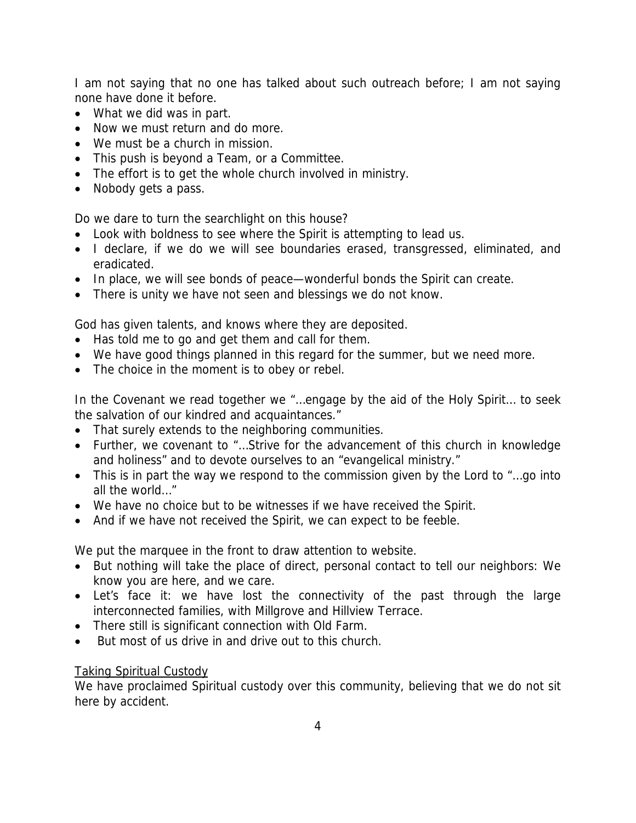I am not saying that no one has talked about such outreach before; I am not saying none have done it before.

- What we did was in part.
- Now we must return and do more.
- We must be a church in mission.
- This push is beyond a Team, or a Committee.
- The effort is to get the whole church involved in ministry.
- Nobody gets a pass.

Do we dare to turn the searchlight on this house?

- Look with boldness to see where the Spirit is attempting to lead us.
- I declare, if we do we will see boundaries erased, transgressed, eliminated, and eradicated.
- In place, we will see bonds of peace—wonderful bonds the Spirit can create.
- There is unity we have not seen and blessings we do not know.

God has given talents, and knows where they are deposited.

- Has told me to go and get them and call for them.
- We have good things planned in this regard for the summer, but we need more.
- The choice in the moment is to obey or rebel.

In the Covenant we read together we "…engage by the aid of the Holy Spirit… to seek the salvation of our kindred and acquaintances."

- That surely extends to the neighboring communities.
- Further, we covenant to "…Strive for the advancement of this church in knowledge and holiness" and to devote ourselves to an "evangelical ministry."
- This is in part the way we respond to the commission given by the Lord to "…go into all the world…"
- We have no choice but to be witnesses if we have received the Spirit.
- And if we have not received the Spirit, we can expect to be feeble.

We put the marquee in the front to draw attention to website.

- But nothing will take the place of direct, personal contact to tell our neighbors: We know you are here, and we care.
- Let's face it: we have lost the connectivity of the past through the large interconnected families, with Millgrove and Hillview Terrace.
- There still is significant connection with Old Farm.
- But most of us drive in and drive out to this church.

## Taking Spiritual Custody

We have proclaimed Spiritual custody over this community, believing that we do not sit here by accident.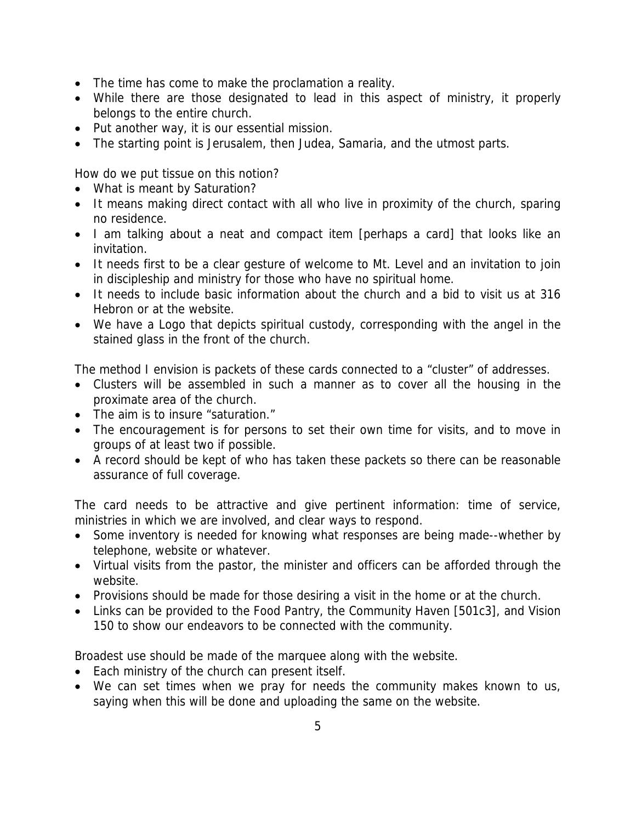- The time has come to make the proclamation a reality.
- While there are those designated to lead in this aspect of ministry, it properly belongs to the entire church.
- Put another way, it is our essential mission.
- The starting point is Jerusalem, then Judea, Samaria, and the utmost parts.

How do we put tissue on this notion?

- What is meant by Saturation?
- It means making direct contact with all who live in proximity of the church, sparing no residence.
- I am talking about a neat and compact item [perhaps a card] that looks like an invitation.
- It needs first to be a clear gesture of welcome to Mt. Level and an invitation to join in discipleship and ministry for those who have no spiritual home.
- It needs to include basic information about the church and a bid to visit us at 316 Hebron or at the website.
- We have a Logo that depicts spiritual custody, corresponding with the angel in the stained glass in the front of the church.

The method I envision is packets of these cards connected to a "cluster" of addresses.

- Clusters will be assembled in such a manner as to cover all the housing in the proximate area of the church.
- The aim is to insure "saturation."
- The encouragement is for persons to set their own time for visits, and to move in groups of at least two if possible.
- A record should be kept of who has taken these packets so there can be reasonable assurance of full coverage.

The card needs to be attractive and give pertinent information: time of service, ministries in which we are involved, and clear ways to respond.

- Some inventory is needed for knowing what responses are being made--whether by telephone, website or whatever.
- Virtual visits from the pastor, the minister and officers can be afforded through the website.
- Provisions should be made for those desiring a visit in the home or at the church.
- Links can be provided to the Food Pantry, the Community Haven [501c3], and Vision 150 to show our endeavors to be connected with the community.

Broadest use should be made of the marquee along with the website.

- Each ministry of the church can present itself.
- We can set times when we pray for needs the community makes known to us, saying when this will be done and uploading the same on the website.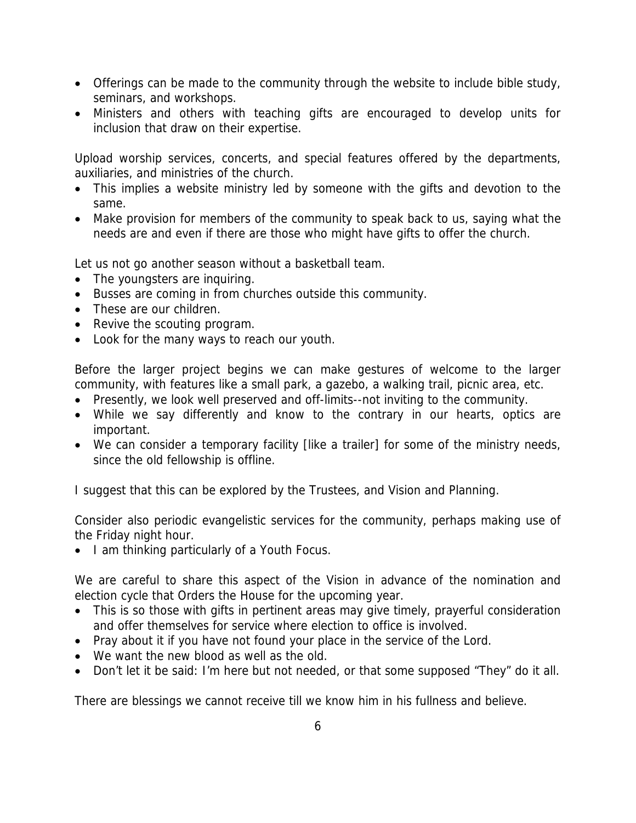- Offerings can be made to the community through the website to include bible study, seminars, and workshops.
- Ministers and others with teaching gifts are encouraged to develop units for inclusion that draw on their expertise.

Upload worship services, concerts, and special features offered by the departments, auxiliaries, and ministries of the church.

- This implies a website ministry led by someone with the gifts and devotion to the same.
- Make provision for members of the community to speak back to us, saying what the needs are and even if there are those who might have gifts to offer the church.

Let us not go another season without a basketball team.

- The youngsters are inquiring.
- Busses are coming in from churches outside this community.
- These are our children.
- Revive the scouting program.
- Look for the many ways to reach our youth.

Before the larger project begins we can make gestures of welcome to the larger community, with features like a small park, a gazebo, a walking trail, picnic area, etc.

- Presently, we look well preserved and off-limits--not inviting to the community.
- While we say differently and know to the contrary in our hearts, optics are important.
- We can consider a temporary facility [like a trailer] for some of the ministry needs, since the old fellowship is offline.

I suggest that this can be explored by the Trustees, and Vision and Planning.

Consider also periodic evangelistic services for the community, perhaps making use of the Friday night hour.

• I am thinking particularly of a Youth Focus.

We are careful to share this aspect of the Vision in advance of the nomination and election cycle that Orders the House for the upcoming year.

- This is so those with gifts in pertinent areas may give timely, prayerful consideration and offer themselves for service where election to office is involved.
- Pray about it if you have not found your place in the service of the Lord.
- We want the new blood as well as the old.
- Don't let it be said: I'm here but not needed, or that some supposed "They" do it all.

There are blessings we cannot receive till we know him in his fullness and believe.